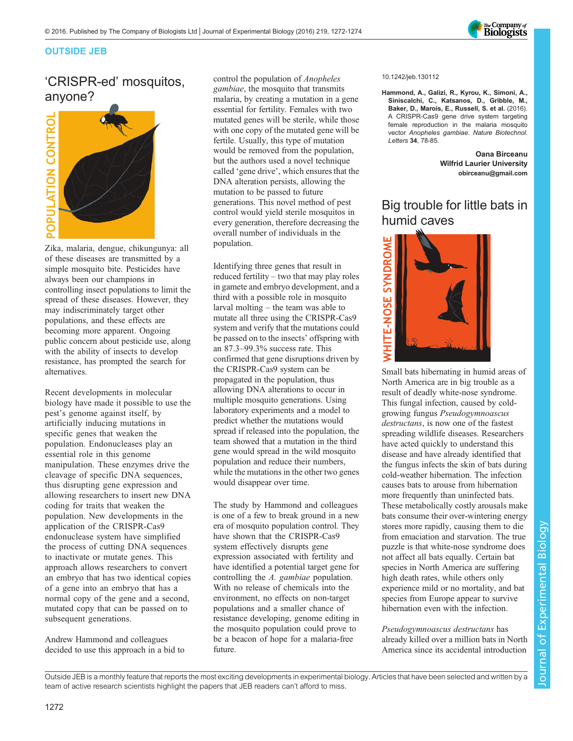

### OUTSIDE JEB

# 'CRISPR-ed' mosquitos, anyone?



Zika, malaria, dengue, chikungunya: all of these diseases are transmitted by a simple mosquito bite. Pesticides have always been our champions in controlling insect populations to limit the spread of these diseases. However, they may indiscriminately target other populations, and these effects are becoming more apparent. Ongoing public concern about pesticide use, along with the ability of insects to develop resistance, has prompted the search for alternatives.

Recent developments in molecular biology have made it possible to use the pest's genome against itself, by artificially inducing mutations in specific genes that weaken the population. Endonucleases play an essential role in this genome manipulation. These enzymes drive the cleavage of specific DNA sequences, thus disrupting gene expression and allowing researchers to insert new DNA coding for traits that weaken the population. New developments in the application of the CRISPR-Cas9 endonuclease system have simplified the process of cutting DNA sequences to inactivate or mutate genes. This approach allows researchers to convert an embryo that has two identical copies of a gene into an embryo that has a normal copy of the gene and a second, mutated copy that can be passed on to subsequent generations.

Andrew Hammond and colleagues decided to use this approach in a bid to control the population of Anopheles gambiae, the mosquito that transmits malaria, by creating a mutation in a gene essential for fertility. Females with two mutated genes will be sterile, while those with one copy of the mutated gene will be fertile. Usually, this type of mutation would be removed from the population, but the authors used a novel technique called 'gene drive', which ensures that the DNA alteration persists, allowing the mutation to be passed to future generations. This novel method of pest control would yield sterile mosquitos in every generation, therefore decreasing the overall number of individuals in the population.

Identifying three genes that result in reduced fertility – two that may play roles in gamete and embryo development, and a third with a possible role in mosquito larval molting – the team was able to mutate all three using the CRISPR-Cas9 system and verify that the mutations could be passed on to the insects' offspring with an 87.3–99.3% success rate. This confirmed that gene disruptions driven by the CRISPR-Cas9 system can be propagated in the population, thus allowing DNA alterations to occur in multiple mosquito generations. Using laboratory experiments and a model to predict whether the mutations would spread if released into the population, the team showed that a mutation in the third gene would spread in the wild mosquito population and reduce their numbers, while the mutations in the other two genes would disappear over time.

The study by Hammond and colleagues is one of a few to break ground in a new era of mosquito population control. They have shown that the CRISPR-Cas9 system effectively disrupts gene expression associated with fertility and have identified a potential target gene for controlling the A. gambiae population. With no release of chemicals into the environment, no effects on non-target populations and a smaller chance of resistance developing, genome editing in the mosquito population could prove to be a beacon of hope for a malaria-free future.

#### 10.1242/jeb.130112

[Hammond, A., Galizi, R., Kyrou, K., Simoni, A.,](http://dx.doi.org/10.1038/nbt.3439) [Siniscalchi, C., Katsanos, D., Gribble, M.,](http://dx.doi.org/10.1038/nbt.3439) [Baker, D., Marois, E., Russell, S. et al.](http://dx.doi.org/10.1038/nbt.3439) (2016). [A CRISPR-Cas9 gene drive system targeting](http://dx.doi.org/10.1038/nbt.3439) [female reproduction in the malaria mosquito](http://dx.doi.org/10.1038/nbt.3439) vector [Anopheles gambiae](http://dx.doi.org/10.1038/nbt.3439). Nature Biotechnol. [Letters](http://dx.doi.org/10.1038/nbt.3439) 34, 78-85.

> Oana Birceanu Wilfrid Laurier University [obirceanu@gmail.com](mailto:obirceanu@gmail.com)

### Big trouble for little bats in humid caves



Small bats hibernating in humid areas of North America are in big trouble as a result of deadly white-nose syndrome. This fungal infection, caused by coldgrowing fungus Pseudogymnoascus destructans, is now one of the fastest spreading wildlife diseases. Researchers have acted quickly to understand this disease and have already identified that the fungus infects the skin of bats during cold-weather hibernation. The infection causes bats to arouse from hibernation more frequently than uninfected bats. These metabolically costly arousals make bats consume their over-wintering energy stores more rapidly, causing them to die from emaciation and starvation. The true puzzle is that white-nose syndrome does not affect all bats equally. Certain bat species in North America are suffering high death rates, while others only experience mild or no mortality, and bat species from Europe appear to survive hibernation even with the infection.

Pseudogymnoascus destructans has already killed over a million bats in North America since its accidental introduction

Outside JEB is a monthly feature that reports the most exciting developments in experimental biology. Articles that have been selected and written by a team of active research scientists highlight the papers that JEB readers can't afford to miss.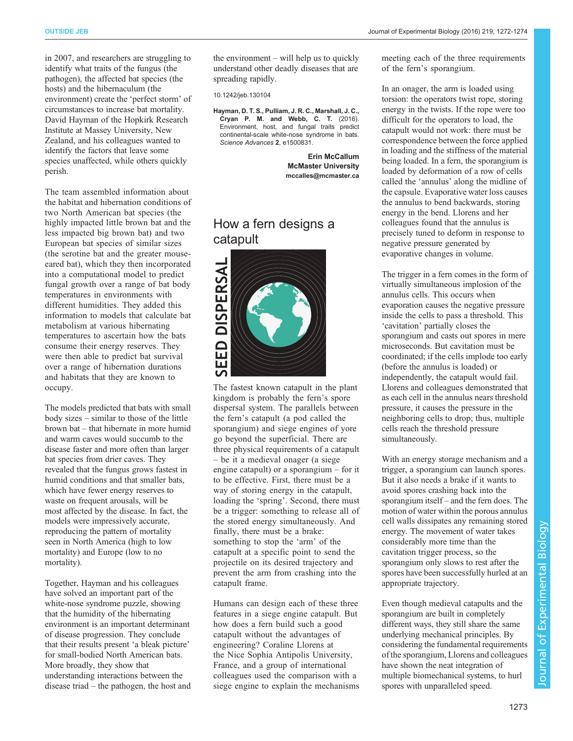in 2007, and researchers are struggling to identify what traits of the fungus (the pathogen), the affected bat species (the hosts) and the hibernaculum (the environment) create the 'perfect storm' of circumstances to increase bat mortality. David Hayman of the Hopkirk Research Institute at Massey University, New Zealand, and his colleagues wanted to identify the factors that leave some species unaffected, while others quickly perish.

The team assembled information about the habitat and hibernation conditions of two North American bat species (the highly impacted little brown bat and the less impacted big brown bat) and two European bat species of similar sizes (the serotine bat and the greater mouseeared bat), which they then incorporated into a computational model to predict fungal growth over a range of bat body temperatures in environments with different humidities. They added this information to models that calculate bat metabolism at various hibernating temperatures to ascertain how the bats consume their energy reserves. They were then able to predict bat survival over a range of hibernation durations and habitats that they are known to occupy.

The models predicted that bats with small body sizes – similar to those of the little brown bat – that hibernate in more humid and warm caves would succumb to the disease faster and more often than larger bat species from drier caves. They revealed that the fungus grows fastest in humid conditions and that smaller bats, which have fewer energy reserves to waste on frequent arousals, will be most affected by the disease. In fact, the models were impressively accurate, reproducing the pattern of mortality seen in North America (high to low mortality) and Europe (low to no mortality).

Together, Hayman and his colleagues have solved an important part of the white-nose syndrome puzzle, showing that the humidity of the hibernating environment is an important determinant of disease progression. They conclude that their results present 'a bleak picture' for small-bodied North American bats. More broadly, they show that understanding interactions between the disease triad – the pathogen, the host and the environment – will help us to quickly understand other deadly diseases that are spreading rapidly.

10.1242/jeb.130104

[Hayman, D. T. S., Pulliam, J. R. C., Marshall, J. C.,](http://dx.doi.org/10.1126/sciadv.1500831) [Cryan P. M. and Webb, C. T.](http://dx.doi.org/10.1126/sciadv.1500831) (2016). [Environment, host, and fungal traits predict](http://dx.doi.org/10.1126/sciadv.1500831) [continental-scale white-nose syndrome in bats.](http://dx.doi.org/10.1126/sciadv.1500831) [Science Advances](http://dx.doi.org/10.1126/sciadv.1500831) 2, e1500831.

> Erin McCallum McMaster University [mccalles@mcmaster.ca](mailto:mccalles@mcmaster.ca)

# How a fern designs a catapult



The fastest known catapult in the plant kingdom is probably the fern's spore dispersal system. The parallels between the fern's catapult (a pod called the sporangium) and siege engines of yore go beyond the superficial. There are three physical requirements of a catapult – be it a medieval onager (a siege engine catapult) or a sporangium – for it to be effective. First, there must be a way of storing energy in the catapult, loading the 'spring'. Second, there must be a trigger: something to release all of the stored energy simultaneously. And finally, there must be a brake: something to stop the 'arm' of the catapult at a specific point to send the projectile on its desired trajectory and prevent the arm from crashing into the catapult frame.

Humans can design each of these three features in a siege engine catapult. But how does a fern build such a good catapult without the advantages of engineering? Coraline Llorens at the Nice Sophia Antipolis University, France, and a group of international colleagues used the comparison with a siege engine to explain the mechanisms meeting each of the three requirements of the fern's sporangium.

In an onager, the arm is loaded using torsion: the operators twist rope, storing energy in the twists. If the rope were too difficult for the operators to load, the catapult would not work: there must be correspondence between the force applied in loading and the stiffness of the material being loaded. In a fern, the sporangium is loaded by deformation of a row of cells called the 'annulus' along the midline of the capsule. Evaporative water loss causes the annulus to bend backwards, storing energy in the bend. Llorens and her colleagues found that the annulus is precisely tuned to deform in response to negative pressure generated by evaporative changes in volume.

The trigger in a fern comes in the form of virtually simultaneous implosion of the annulus cells. This occurs when evaporation causes the negative pressure inside the cells to pass a threshold. This 'cavitation' partially closes the sporangium and casts out spores in mere microseconds. But cavitation must be coordinated; if the cells implode too early (before the annulus is loaded) or independently, the catapult would fail. Llorens and colleagues demonstrated that as each cell in the annulus nears threshold pressure, it causes the pressure in the neighboring cells to drop; thus, multiple cells reach the threshold pressure simultaneously.

With an energy storage mechanism and a trigger, a sporangium can launch spores. But it also needs a brake if it wants to avoid spores crashing back into the sporangium itself – and the fern does. The motion of water within the porous annulus cell walls dissipates any remaining stored energy. The movement of water takes considerably more time than the cavitation trigger process, so the sporangium only slows to rest after the spores have been successfully hurled at an appropriate trajectory.

Even though medieval catapults and the sporangium are built in completely different ways, they still share the same underlying mechanical principles. By considering the fundamental requirements of the sporangium, Llorens and colleagues have shown the neat integration of multiple biomechanical systems, to hurl spores with unparalleled speed.